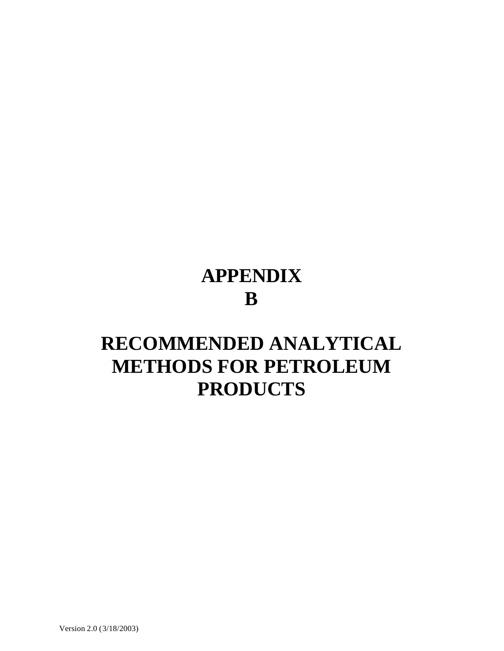## **APPENDIX B**

## **RECOMMENDED ANALYTICAL METHODS FOR PETROLEUM PRODUCTS**

Version 2.0 (3/18/2003)